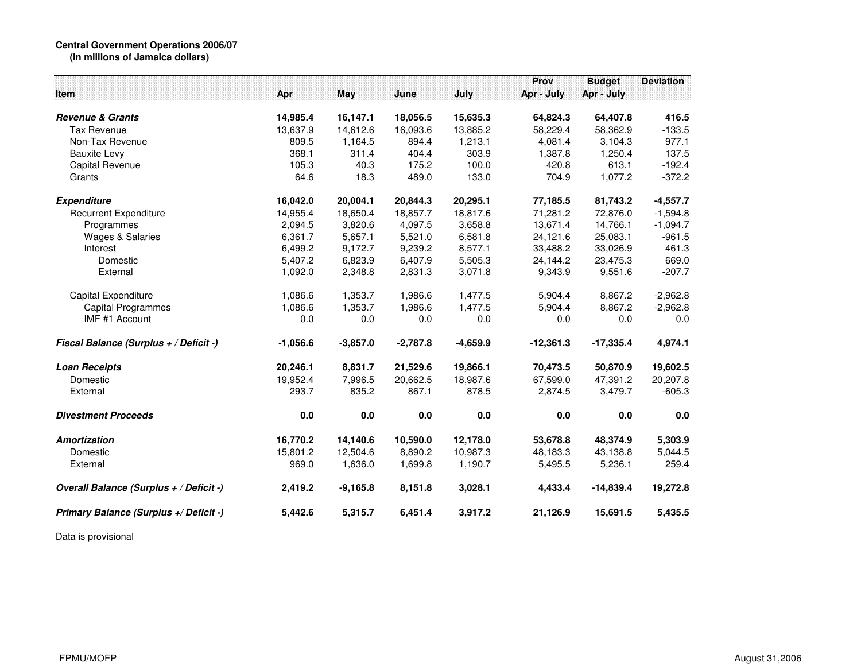## **Central Government Operations 2006/07**

**(in millions of Jamaica dollars)**

|                                         |            |            |            |            | Prov        | <b>Budget</b> | <b>Deviation</b> |
|-----------------------------------------|------------|------------|------------|------------|-------------|---------------|------------------|
| Item                                    | Apr        | <b>May</b> | June       | July       | Apr - July  | Apr - July    |                  |
| <b>Revenue &amp; Grants</b>             | 14,985.4   | 16,147.1   | 18,056.5   | 15,635.3   | 64,824.3    | 64,407.8      | 416.5            |
| <b>Tax Revenue</b>                      | 13,637.9   | 14,612.6   | 16,093.6   | 13,885.2   | 58,229.4    | 58,362.9      | $-133.5$         |
| Non-Tax Revenue                         | 809.5      | 1,164.5    | 894.4      | 1,213.1    | 4,081.4     | 3,104.3       | 977.1            |
| <b>Bauxite Levy</b>                     | 368.1      | 311.4      | 404.4      | 303.9      | 1,387.8     | 1,250.4       | 137.5            |
| Capital Revenue                         | 105.3      | 40.3       | 175.2      | 100.0      | 420.8       | 613.1         | $-192.4$         |
| Grants                                  | 64.6       | 18.3       | 489.0      | 133.0      | 704.9       | 1,077.2       | $-372.2$         |
| <b>Expenditure</b>                      | 16,042.0   | 20,004.1   | 20,844.3   | 20,295.1   | 77,185.5    | 81,743.2      | $-4,557.7$       |
| <b>Recurrent Expenditure</b>            | 14,955.4   | 18,650.4   | 18,857.7   | 18,817.6   | 71,281.2    | 72,876.0      | $-1,594.8$       |
| Programmes                              | 2,094.5    | 3,820.6    | 4,097.5    | 3,658.8    | 13,671.4    | 14,766.1      | $-1,094.7$       |
| <b>Wages &amp; Salaries</b>             | 6,361.7    | 5,657.1    | 5,521.0    | 6,581.8    | 24,121.6    | 25,083.1      | $-961.5$         |
| Interest                                | 6,499.2    | 9,172.7    | 9,239.2    | 8,577.1    | 33,488.2    | 33,026.9      | 461.3            |
| Domestic                                | 5,407.2    | 6,823.9    | 6,407.9    | 5,505.3    | 24,144.2    | 23,475.3      | 669.0            |
| External                                | 1,092.0    | 2,348.8    | 2,831.3    | 3,071.8    | 9,343.9     | 9,551.6       | $-207.7$         |
| Capital Expenditure                     | 1,086.6    | 1,353.7    | 1,986.6    | 1,477.5    | 5,904.4     | 8,867.2       | $-2,962.8$       |
| <b>Capital Programmes</b>               | 1,086.6    | 1,353.7    | 1,986.6    | 1,477.5    | 5,904.4     | 8,867.2       | $-2,962.8$       |
| IMF #1 Account                          | 0.0        | 0.0        | 0.0        | 0.0        | 0.0         | 0.0           | 0.0              |
| Fiscal Balance (Surplus + / Deficit -)  | $-1,056.6$ | $-3,857.0$ | $-2,787.8$ | $-4,659.9$ | $-12,361.3$ | $-17,335.4$   | 4,974.1          |
| <b>Loan Receipts</b>                    | 20,246.1   | 8,831.7    | 21,529.6   | 19,866.1   | 70,473.5    | 50,870.9      | 19,602.5         |
| Domestic                                | 19,952.4   | 7,996.5    | 20,662.5   | 18,987.6   | 67,599.0    | 47,391.2      | 20,207.8         |
| External                                | 293.7      | 835.2      | 867.1      | 878.5      | 2,874.5     | 3,479.7       | $-605.3$         |
| <b>Divestment Proceeds</b>              | 0.0        | 0.0        | 0.0        | 0.0        | 0.0         | 0.0           | 0.0              |
| Amortization                            | 16,770.2   | 14,140.6   | 10,590.0   | 12,178.0   | 53,678.8    | 48,374.9      | 5,303.9          |
| Domestic                                | 15,801.2   | 12,504.6   | 8,890.2    | 10,987.3   | 48,183.3    | 43,138.8      | 5,044.5          |
| External                                | 969.0      | 1,636.0    | 1,699.8    | 1,190.7    | 5,495.5     | 5,236.1       | 259.4            |
| Overall Balance (Surplus + / Deficit -) | 2,419.2    | $-9,165.8$ | 8,151.8    | 3,028.1    | 4,433.4     | $-14,839.4$   | 19,272.8         |
| Primary Balance (Surplus +/ Deficit -)  | 5,442.6    | 5,315.7    | 6,451.4    | 3,917.2    | 21,126.9    | 15,691.5      | 5,435.5          |

Data is provisional